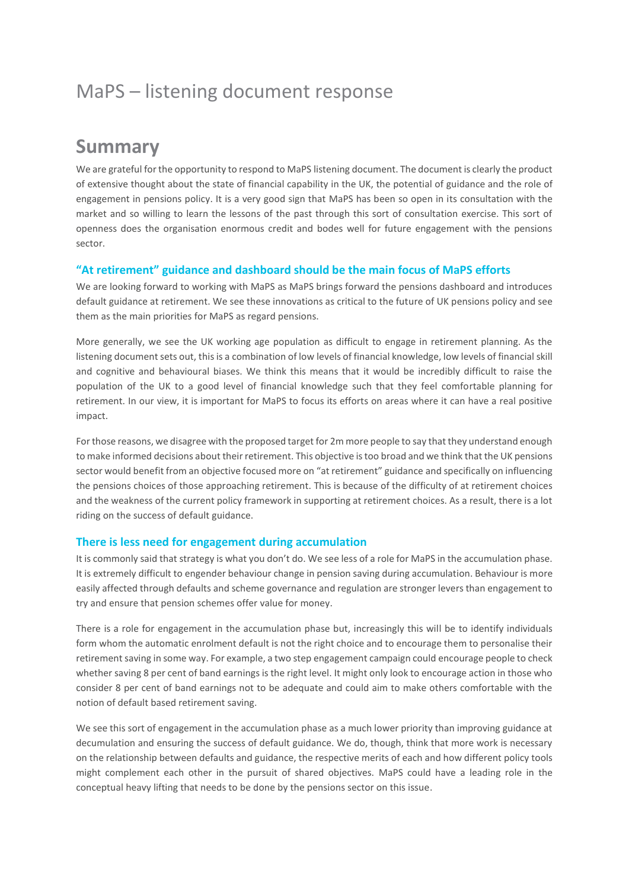# MaPS – listening document response

# **Summary**

We are grateful for the opportunity to respond to MaPS listening document. The document is clearly the product of extensive thought about the state of financial capability in the UK, the potential of guidance and the role of engagement in pensions policy. It is a very good sign that MaPS has been so open in its consultation with the market and so willing to learn the lessons of the past through this sort of consultation exercise. This sort of openness does the organisation enormous credit and bodes well for future engagement with the pensions sector.

## **"At retirement" guidance and dashboard should be the main focus of MaPS efforts**

We are looking forward to working with MaPS as MaPS brings forward the pensions dashboard and introduces default guidance at retirement. We see these innovations as critical to the future of UK pensions policy and see them as the main priorities for MaPS as regard pensions.

More generally, we see the UK working age population as difficult to engage in retirement planning. As the listening document sets out, this is a combination of low levels of financial knowledge, low levels of financial skill and cognitive and behavioural biases. We think this means that it would be incredibly difficult to raise the population of the UK to a good level of financial knowledge such that they feel comfortable planning for retirement. In our view, it is important for MaPS to focus its efforts on areas where it can have a real positive impact.

For those reasons, we disagree with the proposed target for 2m more people to say that they understand enough to make informed decisions about their retirement. This objective is too broad and we think that the UK pensions sector would benefit from an objective focused more on "at retirement" guidance and specifically on influencing the pensions choices of those approaching retirement. This is because of the difficulty of at retirement choices and the weakness of the current policy framework in supporting at retirement choices. As a result, there is a lot riding on the success of default guidance.

### **There is less need for engagement during accumulation**

It is commonly said that strategy is what you don't do. We see less of a role for MaPS in the accumulation phase. It is extremely difficult to engender behaviour change in pension saving during accumulation. Behaviour is more easily affected through defaults and scheme governance and regulation are stronger levers than engagement to try and ensure that pension schemes offer value for money.

There is a role for engagement in the accumulation phase but, increasingly this will be to identify individuals form whom the automatic enrolment default is not the right choice and to encourage them to personalise their retirement saving in some way. For example, a two step engagement campaign could encourage people to check whether saving 8 per cent of band earnings is the right level. It might only look to encourage action in those who consider 8 per cent of band earnings not to be adequate and could aim to make others comfortable with the notion of default based retirement saving.

We see this sort of engagement in the accumulation phase as a much lower priority than improving guidance at decumulation and ensuring the success of default guidance. We do, though, think that more work is necessary on the relationship between defaults and guidance, the respective merits of each and how different policy tools might complement each other in the pursuit of shared objectives. MaPS could have a leading role in the conceptual heavy lifting that needs to be done by the pensions sector on this issue.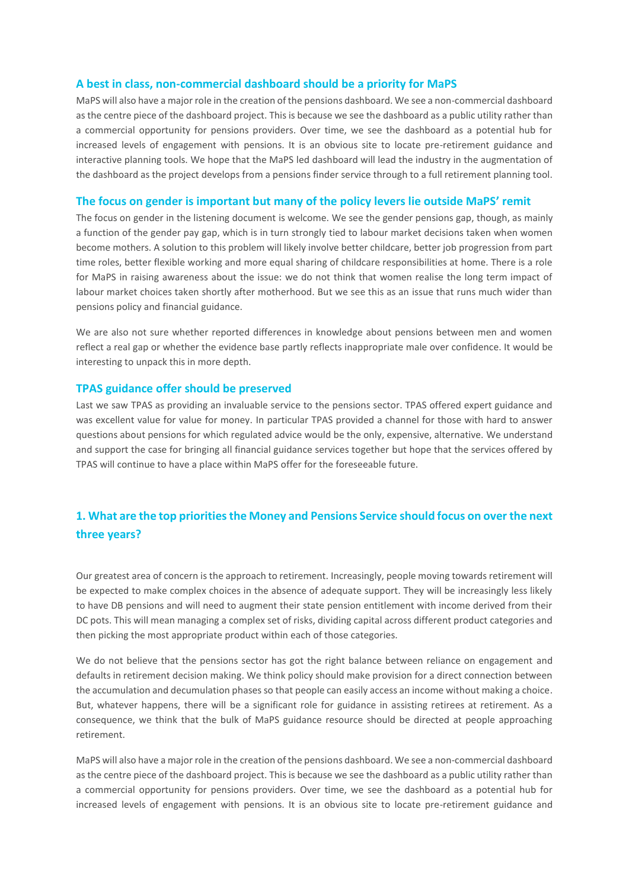### **A best in class, non-commercial dashboard should be a priority for MaPS**

MaPS will also have a major role in the creation of the pensions dashboard. We see a non-commercial dashboard as the centre piece of the dashboard project. This is because we see the dashboard as a public utility rather than a commercial opportunity for pensions providers. Over time, we see the dashboard as a potential hub for increased levels of engagement with pensions. It is an obvious site to locate pre-retirement guidance and interactive planning tools. We hope that the MaPS led dashboard will lead the industry in the augmentation of the dashboard as the project develops from a pensions finder service through to a full retirement planning tool.

#### **The focus on gender is important but many of the policy levers lie outside MaPS' remit**

The focus on gender in the listening document is welcome. We see the gender pensions gap, though, as mainly a function of the gender pay gap, which is in turn strongly tied to labour market decisions taken when women become mothers. A solution to this problem will likely involve better childcare, better job progression from part time roles, better flexible working and more equal sharing of childcare responsibilities at home. There is a role for MaPS in raising awareness about the issue: we do not think that women realise the long term impact of labour market choices taken shortly after motherhood. But we see this as an issue that runs much wider than pensions policy and financial guidance.

We are also not sure whether reported differences in knowledge about pensions between men and women reflect a real gap or whether the evidence base partly reflects inappropriate male over confidence. It would be interesting to unpack this in more depth.

#### **TPAS guidance offer should be preserved**

Last we saw TPAS as providing an invaluable service to the pensions sector. TPAS offered expert guidance and was excellent value for value for money. In particular TPAS provided a channel for those with hard to answer questions about pensions for which regulated advice would be the only, expensive, alternative. We understand and support the case for bringing all financial guidance services together but hope that the services offered by TPAS will continue to have a place within MaPS offer for the foreseeable future.

## **1. What are the top priorities the Money and Pensions Service should focus on over the next three years?**

Our greatest area of concern is the approach to retirement. Increasingly, people moving towards retirement will be expected to make complex choices in the absence of adequate support. They will be increasingly less likely to have DB pensions and will need to augment their state pension entitlement with income derived from their DC pots. This will mean managing a complex set of risks, dividing capital across different product categories and then picking the most appropriate product within each of those categories.

We do not believe that the pensions sector has got the right balance between reliance on engagement and defaults in retirement decision making. We think policy should make provision for a direct connection between the accumulation and decumulation phases so that people can easily access an income without making a choice. But, whatever happens, there will be a significant role for guidance in assisting retirees at retirement. As a consequence, we think that the bulk of MaPS guidance resource should be directed at people approaching retirement.

MaPS will also have a major role in the creation of the pensions dashboard. We see a non-commercial dashboard as the centre piece of the dashboard project. This is because we see the dashboard as a public utility rather than a commercial opportunity for pensions providers. Over time, we see the dashboard as a potential hub for increased levels of engagement with pensions. It is an obvious site to locate pre-retirement guidance and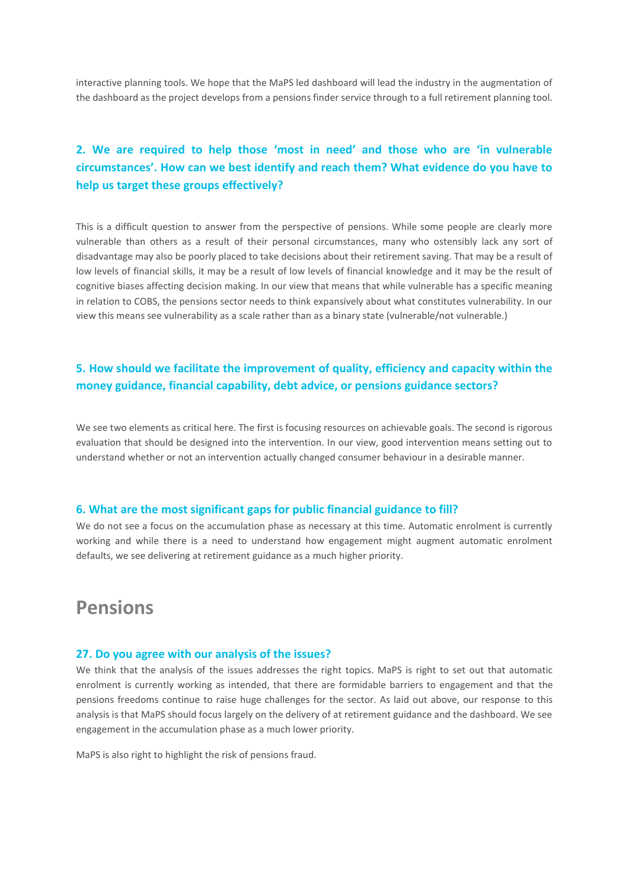interactive planning tools. We hope that the MaPS led dashboard will lead the industry in the augmentation of the dashboard as the project develops from a pensions finder service through to a full retirement planning tool.

# **2. We are required to help those 'most in need' and those who are 'in vulnerable circumstances'. How can we best identify and reach them? What evidence do you have to help us target these groups effectively?**

This is a difficult question to answer from the perspective of pensions. While some people are clearly more vulnerable than others as a result of their personal circumstances, many who ostensibly lack any sort of disadvantage may also be poorly placed to take decisions about their retirement saving. That may be a result of low levels of financial skills, it may be a result of low levels of financial knowledge and it may be the result of cognitive biases affecting decision making. In our view that means that while vulnerable has a specific meaning in relation to COBS, the pensions sector needs to think expansively about what constitutes vulnerability. In our view this means see vulnerability as a scale rather than as a binary state (vulnerable/not vulnerable.)

# **5. How should we facilitate the improvement of quality, efficiency and capacity within the money guidance, financial capability, debt advice, or pensions guidance sectors?**

We see two elements as critical here. The first is focusing resources on achievable goals. The second is rigorous evaluation that should be designed into the intervention. In our view, good intervention means setting out to understand whether or not an intervention actually changed consumer behaviour in a desirable manner.

#### **6. What are the most significant gaps for public financial guidance to fill?**

We do not see a focus on the accumulation phase as necessary at this time. Automatic enrolment is currently working and while there is a need to understand how engagement might augment automatic enrolment defaults, we see delivering at retirement guidance as a much higher priority.

# **Pensions**

#### **27. Do you agree with our analysis of the issues?**

We think that the analysis of the issues addresses the right topics. MaPS is right to set out that automatic enrolment is currently working as intended, that there are formidable barriers to engagement and that the pensions freedoms continue to raise huge challenges for the sector. As laid out above, our response to this analysis is that MaPS should focus largely on the delivery of at retirement guidance and the dashboard. We see engagement in the accumulation phase as a much lower priority.

MaPS is also right to highlight the risk of pensions fraud.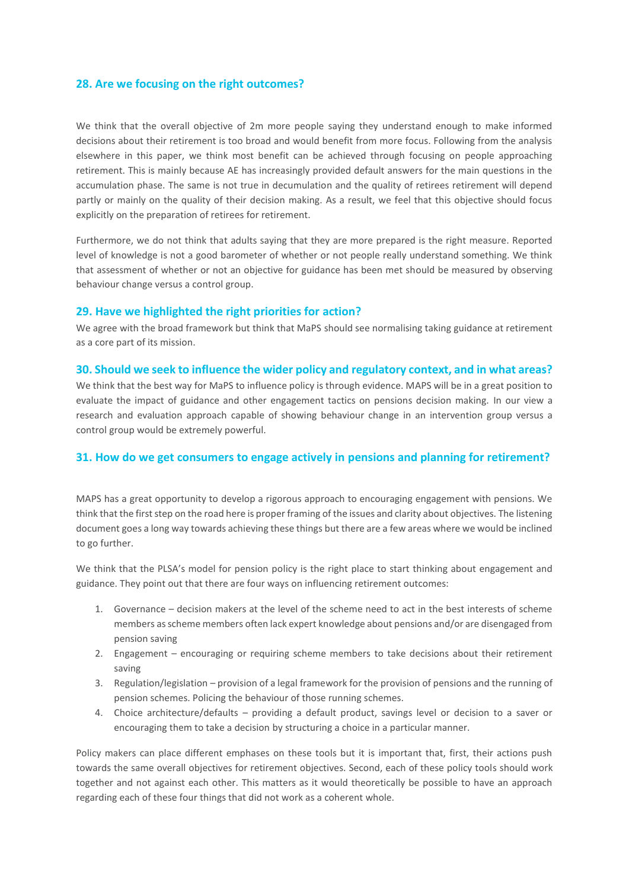### **28. Are we focusing on the right outcomes?**

We think that the overall objective of 2m more people saying they understand enough to make informed decisions about their retirement is too broad and would benefit from more focus. Following from the analysis elsewhere in this paper, we think most benefit can be achieved through focusing on people approaching retirement. This is mainly because AE has increasingly provided default answers for the main questions in the accumulation phase. The same is not true in decumulation and the quality of retirees retirement will depend partly or mainly on the quality of their decision making. As a result, we feel that this objective should focus explicitly on the preparation of retirees for retirement.

Furthermore, we do not think that adults saying that they are more prepared is the right measure. Reported level of knowledge is not a good barometer of whether or not people really understand something. We think that assessment of whether or not an objective for guidance has been met should be measured by observing behaviour change versus a control group.

### **29. Have we highlighted the right priorities for action?**

We agree with the broad framework but think that MaPS should see normalising taking guidance at retirement as a core part of its mission.

#### **30. Should we seek to influence the wider policy and regulatory context, and in what areas?**

We think that the best way for MaPS to influence policy is through evidence. MAPS will be in a great position to evaluate the impact of guidance and other engagement tactics on pensions decision making. In our view a research and evaluation approach capable of showing behaviour change in an intervention group versus a control group would be extremely powerful.

## **31. How do we get consumers to engage actively in pensions and planning for retirement?**

MAPS has a great opportunity to develop a rigorous approach to encouraging engagement with pensions. We think that the first step on the road here is proper framing of the issues and clarity about objectives. The listening document goes a long way towards achieving these things but there are a few areas where we would be inclined to go further.

We think that the PLSA's model for pension policy is the right place to start thinking about engagement and guidance. They point out that there are four ways on influencing retirement outcomes:

- 1. Governance decision makers at the level of the scheme need to act in the best interests of scheme members as scheme members often lack expert knowledge about pensions and/or are disengaged from pension saving
- 2. Engagement encouraging or requiring scheme members to take decisions about their retirement saving
- 3. Regulation/legislation provision of a legal framework for the provision of pensions and the running of pension schemes. Policing the behaviour of those running schemes.
- 4. Choice architecture/defaults providing a default product, savings level or decision to a saver or encouraging them to take a decision by structuring a choice in a particular manner.

Policy makers can place different emphases on these tools but it is important that, first, their actions push towards the same overall objectives for retirement objectives. Second, each of these policy tools should work together and not against each other. This matters as it would theoretically be possible to have an approach regarding each of these four things that did not work as a coherent whole.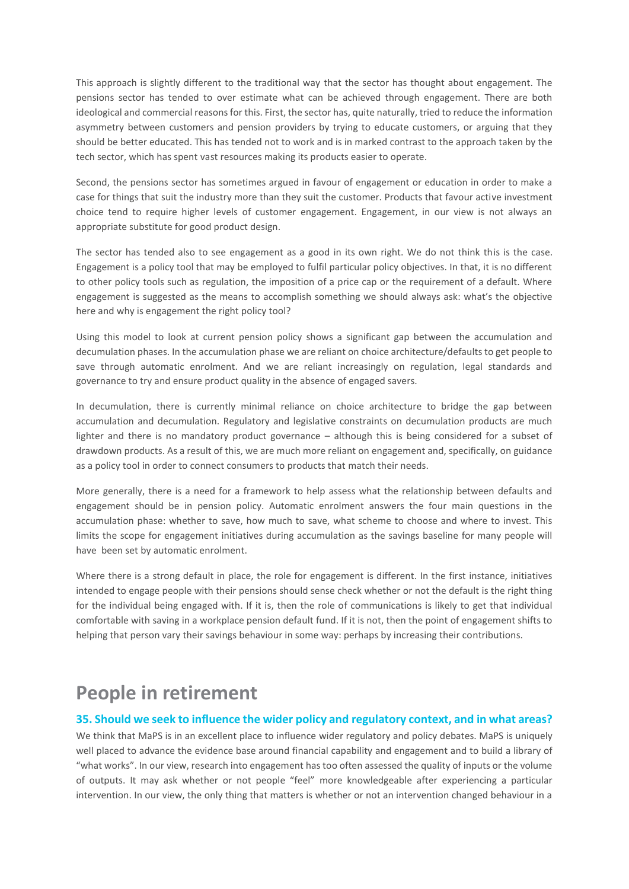This approach is slightly different to the traditional way that the sector has thought about engagement. The pensions sector has tended to over estimate what can be achieved through engagement. There are both ideological and commercial reasons for this. First, the sector has, quite naturally, tried to reduce the information asymmetry between customers and pension providers by trying to educate customers, or arguing that they should be better educated. This has tended not to work and is in marked contrast to the approach taken by the tech sector, which has spent vast resources making its products easier to operate.

Second, the pensions sector has sometimes argued in favour of engagement or education in order to make a case for things that suit the industry more than they suit the customer. Products that favour active investment choice tend to require higher levels of customer engagement. Engagement, in our view is not always an appropriate substitute for good product design.

The sector has tended also to see engagement as a good in its own right. We do not think this is the case. Engagement is a policy tool that may be employed to fulfil particular policy objectives. In that, it is no different to other policy tools such as regulation, the imposition of a price cap or the requirement of a default. Where engagement is suggested as the means to accomplish something we should always ask: what's the objective here and why is engagement the right policy tool?

Using this model to look at current pension policy shows a significant gap between the accumulation and decumulation phases. In the accumulation phase we are reliant on choice architecture/defaults to get people to save through automatic enrolment. And we are reliant increasingly on regulation, legal standards and governance to try and ensure product quality in the absence of engaged savers.

In decumulation, there is currently minimal reliance on choice architecture to bridge the gap between accumulation and decumulation. Regulatory and legislative constraints on decumulation products are much lighter and there is no mandatory product governance – although this is being considered for a subset of drawdown products. As a result of this, we are much more reliant on engagement and, specifically, on guidance as a policy tool in order to connect consumers to products that match their needs.

More generally, there is a need for a framework to help assess what the relationship between defaults and engagement should be in pension policy. Automatic enrolment answers the four main questions in the accumulation phase: whether to save, how much to save, what scheme to choose and where to invest. This limits the scope for engagement initiatives during accumulation as the savings baseline for many people will have been set by automatic enrolment.

Where there is a strong default in place, the role for engagement is different. In the first instance, initiatives intended to engage people with their pensions should sense check whether or not the default is the right thing for the individual being engaged with. If it is, then the role of communications is likely to get that individual comfortable with saving in a workplace pension default fund. If it is not, then the point of engagement shifts to helping that person vary their savings behaviour in some way: perhaps by increasing their contributions.

# **People in retirement**

### **35. Should we seek to influence the wider policy and regulatory context, and in what areas?**

We think that MaPS is in an excellent place to influence wider regulatory and policy debates. MaPS is uniquely well placed to advance the evidence base around financial capability and engagement and to build a library of "what works". In our view, research into engagement has too often assessed the quality of inputs or the volume of outputs. It may ask whether or not people "feel" more knowledgeable after experiencing a particular intervention. In our view, the only thing that matters is whether or not an intervention changed behaviour in a